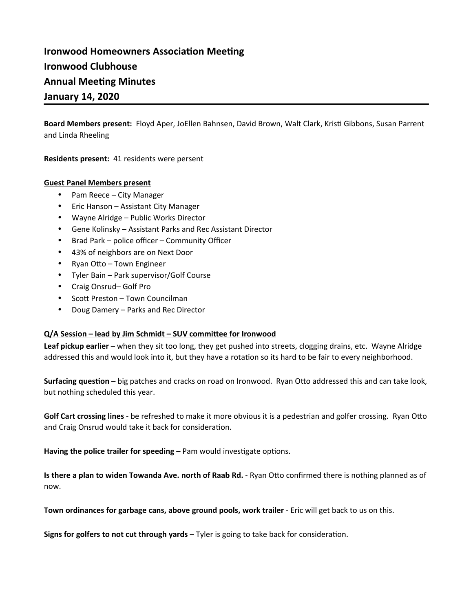# **Ironwood Homeowners Association Meeting Ironwood Clubhouse Annual Meeting Minutes January 14, 2020**

**Board Members present:** Floyd Aper, JoEllen Bahnsen, David Brown, Walt Clark, Kristi Gibbons, Susan Parrent and Linda Rheeling

**Residents present:** 41 residents were persent

#### **Guest Panel Members present**

- Pam Reece City Manager
- Eric Hanson Assistant City Manager
- Wayne Alridge Public Works Director
- Gene Kolinsky Assistant Parks and Rec Assistant Director
- Brad Park police officer Community Officer
- 43% of neighbors are on Next Door
- Ryan Otto Town Engineer
- Tyler Bain Park supervisor/Golf Course
- Craig Onsrud-Golf Pro
- Scott Preston Town Councilman
- Doug Damery Parks and Rec Director

#### **Q/A Session – lead by Jim Schmidt – SUV committee for Ironwood**

**Leaf pickup earlier** – when they sit too long, they get pushed into streets, clogging drains, etc. Wayne Alridge addressed this and would look into it, but they have a rotation so its hard to be fair to every neighborhood.

**Surfacing question** – big patches and cracks on road on Ironwood. Ryan Otto addressed this and can take look, but nothing scheduled this year.

**Golf Cart crossing lines** - be refreshed to make it more obvious it is a pedestrian and golfer crossing. Ryan Otto and Craig Onsrud would take it back for consideration.

Having the police trailer for speeding – Pam would investigate options.

**Is there a plan to widen Towanda Ave. north of Raab Rd.** - Ryan Otto confirmed there is nothing planned as of now.

**Town ordinances for garbage cans, above ground pools, work trailer** - Eric will get back to us on this.

**Signs for golfers to not cut through yards** – Tyler is going to take back for consideration.